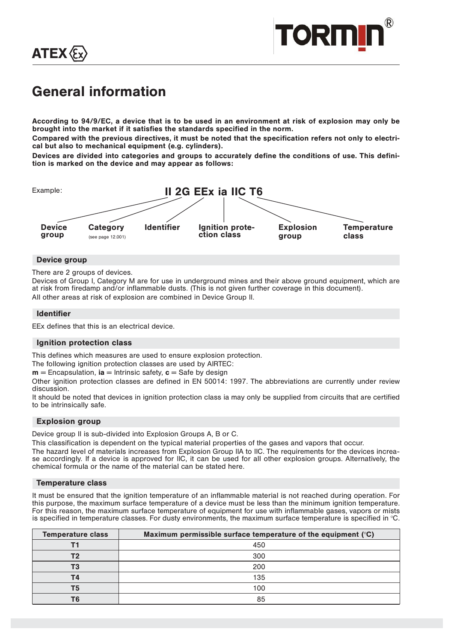



# General information

According to 94/9/EC, a device that is to be used in an environment at risk of explosion may only be brought into the market if it satisfies the standards specified in the norm.

Compared with the previous directives, it must be noted that the specification refers not only to electrical but also to mechanical equipment (e.g. cylinders).

Devices are divided into categories and groups to accurately define the conditions of use. This definition is marked on the device and may appear as follows:



## Device group

There are 2 groups of devices.

Devices of Group I, Category M are for use in underground mines and their above ground equipment, which are at risk from firedamp and/or inflammable dusts. (This is not given further coverage in this document). All other areas at risk of explosion are combined in Device Group II.

## Identifier

EEx defines that this is an electrical device.

# Ignition protection class

This defines which measures are used to ensure explosion protection.

The following ignition protection classes are used by AIRTEC:

 $m =$  Encapsulation,  $ia =$  Intrinsic safety,  $c =$  Safe by design

Other ignition protection classes are defined in EN 50014: 1997. The abbreviations are currently under review discussion.

It should be noted that devices in ignition protection class ia may only be supplied from circuits that are certified to be intrinsically safe.

# Explosion group

Device group II is sub-divided into Explosion Groups A, B or C.

This classification is dependent on the typical material properties of the gases and vapors that occur.

The hazard level of materials increases from Explosion Group IIA to IIC. The requirements for the devices increase accordingly. If a device is approved for IIC, it can be used for all other explosion groups. Alternatively, the chemical formula or the name of the material can be stated here.

## Temperature class

It must be ensured that the ignition temperature of an inflammable material is not reached during operation. For this purpose, the maximum surface temperature of a device must be less than the minimum ignition temperature. For this reason, the maximum surface temperature of equipment for use with inflammable gases, vapors or mists is specified in temperature classes. For dusty environments, the maximum surface temperature is specified in °C.

| <b>Temperature class</b> | Maximum permissible surface temperature of the equipment $(°C)$ |
|--------------------------|-----------------------------------------------------------------|
|                          | 450                                                             |
| Τ2                       | 300                                                             |
| Т3                       | 200                                                             |
| Τ4                       | 135                                                             |
| Τ5                       | 100                                                             |
| TΘ                       | 85                                                              |